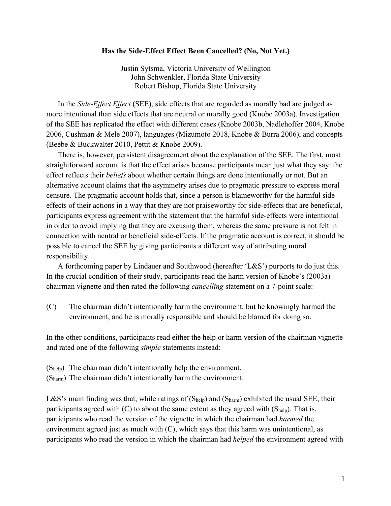## **Has the Side-Effect Effect Been Cancelled? (No, Not Yet.)**

Justin Sytsma, Victoria University of Wellington John Schwenkler, Florida State University Robert Bishop, Florida State University

In the *Side-Effect Effect* (SEE), side effects that are regarded as morally bad are judged as more intentional than side effects that are neutral or morally good (Knobe 2003a). Investigation of the SEE has replicated the effect with different cases (Knobe 2003b, Nadlehoffer 2004, Knobe 2006, Cushman & Mele 2007), languages (Mizumoto 2018, Knobe & Burra 2006), and concepts (Beebe & Buckwalter 2010, Pettit & Knobe 2009).

There is, however, persistent disagreement about the explanation of the SEE. The first, most straightforward account is that the effect arises because participants mean just what they say: the effect reflects their *beliefs* about whether certain things are done intentionally or not. But an alternative account claims that the asymmetry arises due to pragmatic pressure to express moral censure. The pragmatic account holds that, since a person is blameworthy for the harmful sideeffects of their actions in a way that they are not praiseworthy for side-effects that are beneficial, participants express agreement with the statement that the harmful side-effects were intentional in order to avoid implying that they are excusing them, whereas the same pressure is not felt in connection with neutral or beneficial side-effects. If the pragmatic account is correct, it should be possible to cancel the SEE by giving participants a different way of attributing moral responsibility.

A forthcoming paper by Lindauer and Southwood (hereafter 'L&S') purports to do just this. In the crucial condition of their study, participants read the harm version of Knobe's (2003a) chairman vignette and then rated the following *cancelling* statement on a 7-point scale:

(C) The chairman didn't intentionally harm the environment, but he knowingly harmed the environment, and he is morally responsible and should be blamed for doing so.

In the other conditions, participants read either the help or harm version of the chairman vignette and rated one of the following *simple* statements instead:

(Shelp) The chairman didn't intentionally help the environment.

(Sharm) The chairman didn't intentionally harm the environment.

L&S's main finding was that, while ratings of  $(S_{\text{help}})$  and  $(S_{\text{harm}})$  exhibited the usual SEE, their participants agreed with  $(C)$  to about the same extent as they agreed with  $(S_{\text{help}})$ . That is, participants who read the version of the vignette in which the chairman had *harmed* the environment agreed just as much with (C), which says that this harm was unintentional, as participants who read the version in which the chairman had *helped* the environment agreed with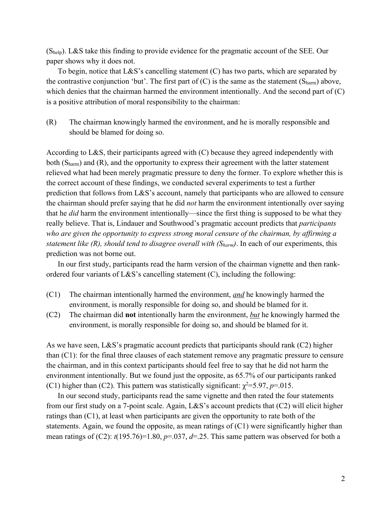(Shelp). L&S take this finding to provide evidence for the pragmatic account of the SEE. Our paper shows why it does not.

To begin, notice that  $L\&S$ 's cancelling statement (C) has two parts, which are separated by the contrastive conjunction 'but'. The first part of  $(C)$  is the same as the statement  $(S_{\text{harm}})$  above, which denies that the chairman harmed the environment intentionally. And the second part of (C) is a positive attribution of moral responsibility to the chairman:

(R) The chairman knowingly harmed the environment, and he is morally responsible and should be blamed for doing so.

According to L&S, their participants agreed with (C) because they agreed independently with both  $(S<sub>harm</sub>)$  and  $(R)$ , and the opportunity to express their agreement with the latter statement relieved what had been merely pragmatic pressure to deny the former. To explore whether this is the correct account of these findings, we conducted several experiments to test a further prediction that follows from L&S's account, namely that participants who are allowed to censure the chairman should prefer saying that he did *not* harm the environment intentionally over saying that he *did* harm the environment intentionally—since the first thing is supposed to be what they really believe. That is, Lindauer and Southwood's pragmatic account predicts that *participants who are given the opportunity to express strong moral censure of the chairman, by affirming a statement like (R), should tend to disagree overall with (Sharm)*. In each of our experiments, this prediction was not borne out.

In our first study, participants read the harm version of the chairman vignette and then rankordered four variants of L&S's cancelling statement (C), including the following:

- (C1) The chairman intentionally harmed the environment, *and* he knowingly harmed the environment, is morally responsible for doing so, and should be blamed for it.
- (C2) The chairman did **not** intentionally harm the environment, *but* he knowingly harmed the environment, is morally responsible for doing so, and should be blamed for it.

As we have seen, L&S's pragmatic account predicts that participants should rank (C2) higher than (C1): for the final three clauses of each statement remove any pragmatic pressure to censure the chairman, and in this context participants should feel free to say that he did not harm the environment intentionally. But we found just the opposite, as 65.7% of our participants ranked (C1) higher than (C2). This pattern was statistically significant:  $\chi^2 = 5.97$ ,  $p=0.015$ .

In our second study, participants read the same vignette and then rated the four statements from our first study on a 7-point scale. Again, L&S's account predicts that (C2) will elicit higher ratings than (C1), at least when participants are given the opportunity to rate both of the statements. Again, we found the opposite, as mean ratings of  $(C1)$  were significantly higher than mean ratings of (C2):  $t(195.76)=1.80$ ,  $p=.037$ ,  $d=.25$ . This same pattern was observed for both a